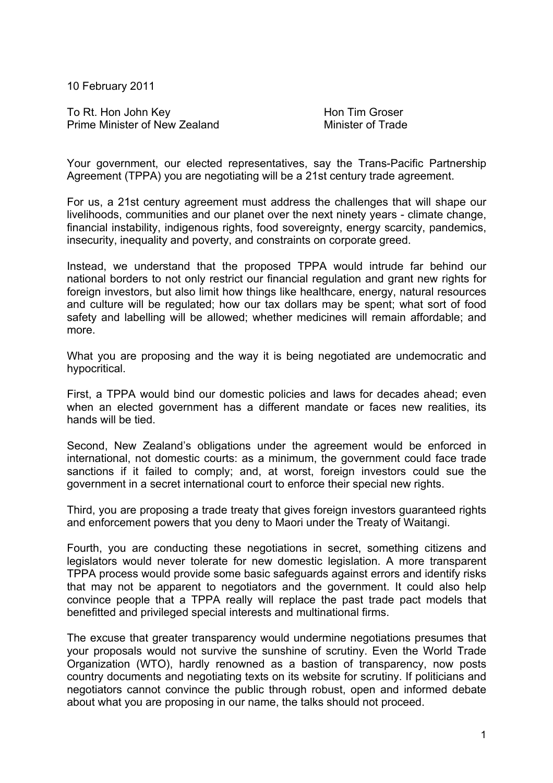10 February 2011

To Rt. Hon John Key **Hon Tim Groser** Prime Minister of New Zealand Minister of Trade

Your government, our elected representatives, say the Trans-Pacific Partnership Agreement (TPPA) you are negotiating will be a 21st century trade agreement.

For us, a 21st century agreement must address the challenges that will shape our livelihoods, communities and our planet over the next ninety years - climate change, financial instability, indigenous rights, food sovereignty, energy scarcity, pandemics, insecurity, inequality and poverty, and constraints on corporate greed.

Instead, we understand that the proposed TPPA would intrude far behind our national borders to not only restrict our financial regulation and grant new rights for foreign investors, but also limit how things like healthcare, energy, natural resources and culture will be regulated; how our tax dollars may be spent; what sort of food safety and labelling will be allowed; whether medicines will remain affordable; and more.

What you are proposing and the way it is being negotiated are undemocratic and hypocritical.

First, a TPPA would bind our domestic policies and laws for decades ahead; even when an elected government has a different mandate or faces new realities, its hands will be tied.

Second, New Zealand's obligations under the agreement would be enforced in international, not domestic courts: as a minimum, the government could face trade sanctions if it failed to comply; and, at worst, foreign investors could sue the government in a secret international court to enforce their special new rights.

Third, you are proposing a trade treaty that gives foreign investors guaranteed rights and enforcement powers that you deny to Maori under the Treaty of Waitangi.

Fourth, you are conducting these negotiations in secret, something citizens and legislators would never tolerate for new domestic legislation. A more transparent TPPA process would provide some basic safeguards against errors and identify risks that may not be apparent to negotiators and the government. It could also help convince people that a TPPA really will replace the past trade pact models that benefitted and privileged special interests and multinational firms.

The excuse that greater transparency would undermine negotiations presumes that your proposals would not survive the sunshine of scrutiny. Even the World Trade Organization (WTO), hardly renowned as a bastion of transparency, now posts country documents and negotiating texts on its website for scrutiny. If politicians and negotiators cannot convince the public through robust, open and informed debate about what you are proposing in our name, the talks should not proceed.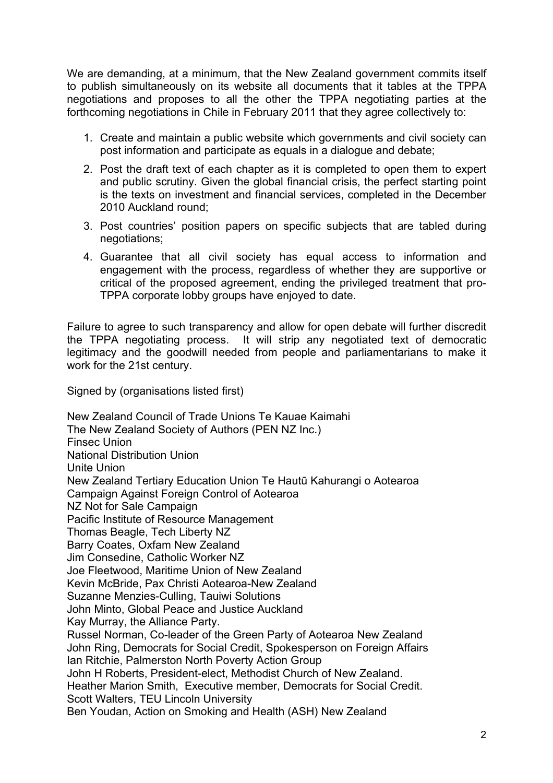We are demanding, at a minimum, that the New Zealand government commits itself to publish simultaneously on its website all documents that it tables at the TPPA negotiations and proposes to all the other the TPPA negotiating parties at the forthcoming negotiations in Chile in February 2011 that they agree collectively to:

- 1. Create and maintain a public website which governments and civil society can post information and participate as equals in a dialogue and debate;
- 2. Post the draft text of each chapter as it is completed to open them to expert and public scrutiny. Given the global financial crisis, the perfect starting point is the texts on investment and financial services, completed in the December 2010 Auckland round;
- 3. Post countries' position papers on specific subjects that are tabled during negotiations;
- 4. Guarantee that all civil society has equal access to information and engagement with the process, regardless of whether they are supportive or critical of the proposed agreement, ending the privileged treatment that pro-TPPA corporate lobby groups have enjoyed to date.

Failure to agree to such transparency and allow for open debate will further discredit the TPPA negotiating process. It will strip any negotiated text of democratic legitimacy and the goodwill needed from people and parliamentarians to make it work for the 21st century.

Signed by (organisations listed first)

New Zealand Council of Trade Unions Te Kauae Kaimahi The New Zealand Society of Authors (PEN NZ Inc.) Finsec Union National Distribution Union Unite Union New Zealand Tertiary Education Union Te Hautū Kahurangi o Aotearoa Campaign Against Foreign Control of Aotearoa NZ Not for Sale Campaign Pacific Institute of Resource Management Thomas Beagle, Tech Liberty NZ Barry Coates, Oxfam New Zealand Jim Consedine, Catholic Worker NZ Joe Fleetwood, Maritime Union of New Zealand Kevin McBride, Pax Christi Aotearoa-New Zealand Suzanne Menzies-Culling, Tauiwi Solutions John Minto, Global Peace and Justice Auckland Kay Murray, the Alliance Party. Russel Norman, Co-leader of the Green Party of Aotearoa New Zealand John Ring, Democrats for Social Credit, Spokesperson on Foreign Affairs Ian Ritchie, Palmerston North Poverty Action Group John H Roberts, President-elect, Methodist Church of New Zealand. Heather Marion Smith, Executive member, Democrats for Social Credit. Scott Walters, TEU Lincoln University Ben Youdan, Action on Smoking and Health (ASH) New Zealand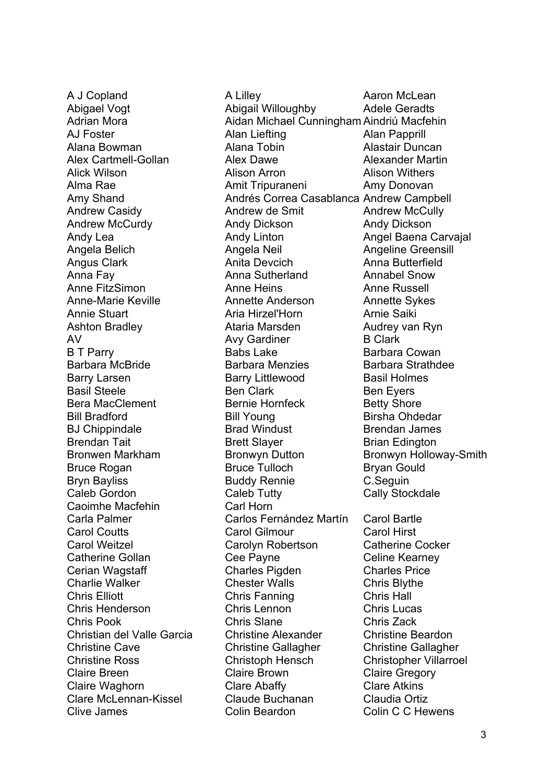Caoimhe Macfehin Carl Horn

A J Copland **A** Lilley **A** Lilley **A** Aaron McLean Abigael Vogt **Abigail Willoughby** Adele Geradts Adrian Mora Aidan Michael Cunningham Aindriú Macfehin AJ Foster **Alan Liefting** Alan Papprill Alana Bowman Alana Tobin Alastair Duncan Alex Cartmell-Gollan Alex Dawe Alexander Martin Alick Wilson Alison Arron Alison Withers Alma Rae Amit Tripuraneni Amy Donovan Amy Shand **Andrés Correa Casablanca Andrew Campbell** Andrew Casidy **Andrew Andrew de Smit** Andrew McCully Andrew McCurdy Andy Dickson Andy Dickson Andy Lea **Andy Linton** Andy Linton **Angel Baena Carvajal** Angela Belich Angela Neil Angeline Greensill Angus Clark **Anita Devcich** Anna Butterfield Anna Fay Anna Sutherland Annabel Snow Anne FitzSimon **Anne Heins** Anne Russell Anne-Marie Keville **Annette Anderson** Annette Sykes Annie Stuart **Aria Hirzel'Horn** Arnie Saiki Ashton Bradley **Ataria Marsden** Audrey van Ryn AV Avy Gardiner B Clark B T Parry **Babs Lake** Barbara Cowan Barbara McBride **Barbara Menzies** Barbara Strathdee Barry Larsen **Barry Littlewood** Basil Holmes Basil Steele **Ben Clark** Ben Clark Ben Eyers Bera MacClement **Bernie Hornfeck** Betty Shore Bill Bradford **Bill Young** Bill Young Birsha Ohdedar BJ Chippindale **Brad Windust** Brendan James Brendan Tait **Brett Slayer** Brett Slayer Brian Edington Bronwen Markham Bronwyn Dutton Bronwyn Holloway-Smith Bruce Rogan Bruce Tulloch Bryan Gould Bryn Bayliss **Buddy Rennie** C.Seguin Caleb Gordon Caleb Tutty Cally Stockdale Carla Palmer Carlos Fernández Martín Carol Bartle Carol Coutts Carol Gilmour Carol Hirst Carol Weitzel Carolyn Robertson Catherine Cocker Catherine Gollan Cee Payne Cee Payne Celine Kearney Cerian Wagstaff Charles Pigden Charles Price Charlie Walker Chester Walls Chris Blythe Chris Elliott Chris Fanning Chris Hall Chris Henderson Chris Lennon Chris Lucas Chris Pook Chris Slane Chris Zack Christian del Valle Garcia Christine Alexander Christine Beardon Christine Cave Christine Gallagher Christine Gallagher Christine Ross Christoph Hensch Christopher Villarroel Claire Breen Claire Brown Claire Gregory Claire Waghorn Clare Abaffy Clare Atkins Clare McLennan-Kissel Claude Buchanan Claudia Ortiz Clive James Colin Beardon Colin C C Hewens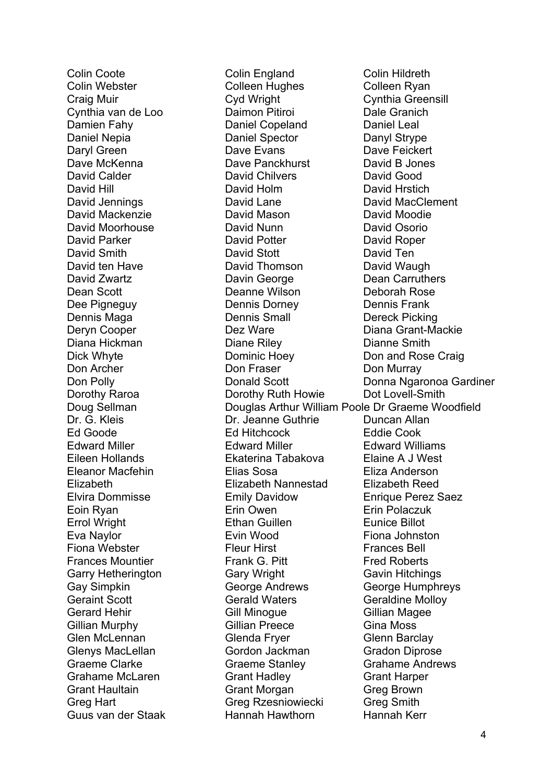Colin Coote Colin England Colin Hildreth Colin Webster Colleen Hughes Colleen Ryan Craig Muir Cyd Wright Cynthia Greensill Cynthia van de Loo **Daimon Pitiroi** Dale Granich Damien Fahy Daniel Copeland Daniel Leal Daniel Nepia **Daniel Spector** Daniel Spector Danyl Strype Daryl Green **Dave Evans** Dave Evans Dave Feickert Dave McKenna Dave Panckhurst David B Jones David Calder David Chilvers David Good David Hill David Holm David Hrstich David Jennings David Lane David MacClement David Mackenzie David Mason David Moodie David Moorhouse David Nunn David Osorio David Parker David Potter David Roper David Smith David Stott David Ten David ten Have **David Thomson** David Waugh David Zwartz Davin George Dean Carruthers Dean Scott Deanne Wilson Deborah Rose Dee Pigneguy Dennis Dorney Dennis Frank Dennis Maga **Dennis Small** Dennis Small Dereck Picking Deryn Cooper **Dez Ware** Dez Ware Diana Grant-Mackie Diana Hickman Diane Riley Dianne Smith Dick Whyte **Dominic Hoey** Don and Rose Craig Don Archer **Don Fraser** Don Don Murray Don Polly Donald Scott Donna Ngaronoa Gardiner Dorothy Raroa **Dorothy Ruth Howie** Dot Lovell-Smith Doug Sellman Douglas Arthur William Poole Dr Graeme Woodfield Dr. G. Kleis Dr. Jeanne Guthrie Duncan Allan Ed Goode Ed Hitchcock Eddie Cook Edward Miller Edward Miller Edward Williams Eileen Hollands Ekaterina Tabakova Elaine A J West Eleanor Macfehin Elias Sosa Eliza Anderson Elizabeth Elizabeth Nannestad Elizabeth Reed Elvira Dommisse Emily Davidow Enrique Perez Saez Eoin Ryan Erin Owen Erin Polaczuk Errol Wright Ethan Guillen Eunice Billot Eva Naylor Evin Wood Fiona Johnston Fiona Webster Fleur Hirst Frances Bell Frances Mountier **Frank G. Pitt** Fred Roberts Garry Hetherington Gary Wright Gavin Hitchings Gay Simpkin George Andrews George Humphreys Geraint Scott **Gerald Waters** Gerald Waters Geraldine Molloy Gerard Hehir Gill Minoque Gill Gillian Magee Gillian Murphy **Gillian Preece** Gina Moss Glen McLennan Glenda Fryer Glenn Barclay Glenys MacLellan Gordon Jackman Gradon Diprose Graeme Clarke Graeme Stanley Grahame Andrews Grahame McLaren Grant Hadley Grant Harper Grant Haultain Grant Morgan Greg Brown Greg Hart Greg Rzesniowiecki Greg Smith Guus van der Staak Hannah Hawthorn Hannah Kerr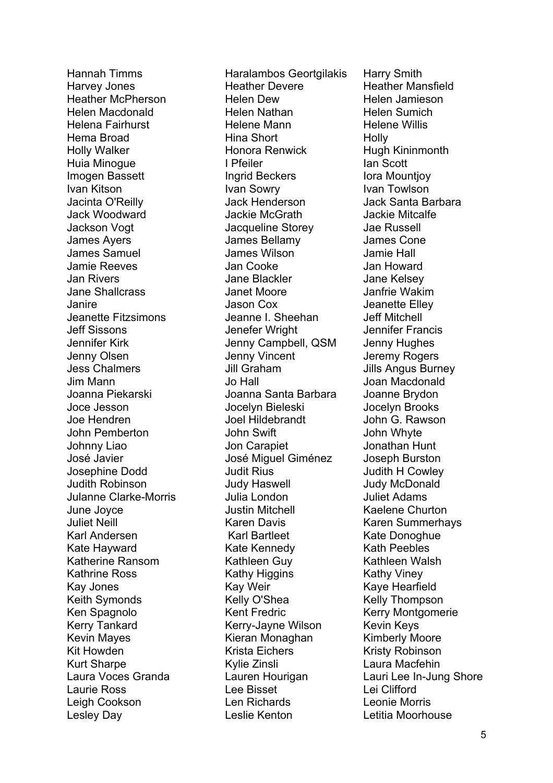Lesley Day Leslie Kenton Letitia Moorhouse

Hannah Timms **Haralambos Geortgilakis** Harry Smith Harvey Jones **Heather Devere** Heather Mansfield Heather McPherson Helen Dew Helen Jamieson Helen Macdonald Helen Nathan Helen Sumich Helena Fairhurst Helene Mann Helene Willis Hema Broad **Hina Short** Holly Holly Walker **Honora Renwick** Hugh Kininmonth Huia Minoque **I** Pfeiler **I** Pfeiler **I** And Scott Imogen Bassett **Ingrid Beckers** Iora Mountjoy Ivan Kitson **Ivan Sowry** Ivan Towlson Jacinta O'Reilly Jack Henderson Jack Santa Barbara Jack Woodward Jackie McGrath Jackie Mitcalfe Jackson Vogt Jacqueline Storey Jae Russell James Ayers James Bellamy James Cone James Samuel James Wilson Jamie Hall Jamie Reeves Jan Cooke Jan Howard Jan Rivers Jane Blackler Jane Kelsey Jane Shallcrass Janet Moore Janfrie Wakim Janire Jason Cox Jeanette Elley Jeanette Fitzsimons Jeanne I. Sheehan Jeff Mitchell Jeff Sissons Jenefer Wright Jennifer Francis Jennifer Kirk Jenny Campbell, QSM Jenny Hughes Jenny Olsen Jenny Vincent Jeremy Rogers Jess Chalmers Jill Graham Jills Angus Burney Jim Mann Jo Hall Joan Macdonald Joanna Piekarski Joanna Santa Barbara Joanne Brydon Joce Jesson Jocelyn Bieleski Jocelyn Brooks Joe Hendren Joel Hildebrandt John G. Rawson John Pemberton John Swift John Whyte Johnny Liao **Johnny Liao** Jon Carapiet Johnny Liao José Javier José Miguel Giménez Joseph Burston Josephine Dodd Judit Rius Judith H Cowley Judith Robinson Judy Haswell Judy McDonald Julanne Clarke-Morris Julia London Juliet Adams June Joyce Justin Mitchell Kaelene Churton Juliet Neill Karen Davis Karen Summerhays Karl Andersen Karl Bartleet Karl Bartleet Kate Donoghue Kate Hayward **Kate Kennedy** Kath Peebles Katherine Ransom Kathleen Guy Kathleen Walsh Kathrine Ross **Kathy Higgins** Kathy Viney Kay Jones **Kay Kay Weir** Kay Weir Kaye Hearfield Keith Symonds **Kelly O'Shea** Kelly O'Shea Kelly Thompson Ken Spagnolo Kent Fredric Kerry Montgomerie Kerry Tankard Kerry-Jayne Wilson Kevin Keys Kevin Mayes **Kieran Monaghan** Kimberly Moore Kit Howden **Krista Eichers** Krista Eichers Kristy Robinson Kurt Sharpe **Kylie Zinsli** Kylie Zinsli Laura Macfehin Laurie Ross Lee Bisset Lei Clifford Leigh Cookson Len Richards Leonie Morris

Laura Voces Granda Lauren Hourigan Lauri Lee In-Jung Shore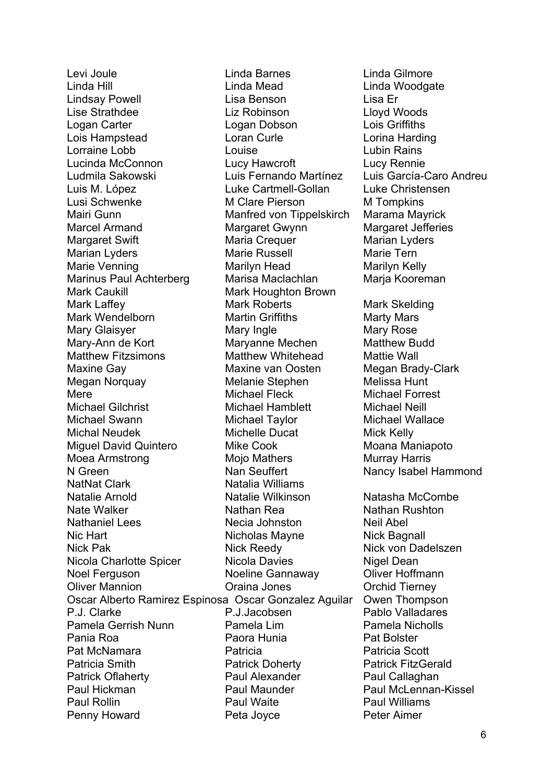Linda Hill Linda Mead Linda Woodgate Lindsay Powell Lisa Benson Lisa Er Lise Strathdee Liz Robinson Lloyd Woods Logan Carter Logan Dobson Lois Griffiths Lois Hampstead Loran Curle Lorina Harding Lorraine Lobb Louise Lubin Rains Lucinda McConnon Lucy Hawcroft Lucy Rennie Ludmila Sakowski Luis Fernando Martínez Luis García-Caro Andreu Luis M. López Luke Cartmell-Gollan Luke Christensen Lusi Schwenke M Clare Pierson M Tompkins Mairi Gunn Manfred von Tippelskirch Marama Mayrick Marcel Armand Margaret Gwynn Margaret Jefferies Margaret Swift **Maria Crequer** Marian Marian Lyders Marian Lyders Marie Russell Marie Tern Marie Venning **Marilyn Head** Marilyn Head Marilyn Kelly Marinus Paul Achterberg Marisa Maclachlan Maria Kooreman Mark Caukill **Mark Houghton Brown** Mark Laffey Mark Roberts Mark Laffey Mark Wendelborn Martin Griffiths Marty Mars Mary Glaisyer **Mary Ingle** Mary Mary Rose Mary-Ann de Kort **Maryanne Mechen** Matthew Budd Matthew Fitzsimons Matthew Whitehead Mattie Wall Maxine Gay Maxine van Oosten Megan Brady-Clark Megan Norquay Melanie Stephen Melissa Hunt Mere Michael Fleck Michael Forrest Michael Gilchrist Michael Hamblett Michael Neill Michael Swann Michael Taylor Michael Wallace Michal Neudek Michelle Ducat Mick Kelly Miguel David Quintero Mike Cook Moana Maniapoto Moea Armstrong Mojo Mathers Murray Harris N Green Nan Seuffert Nancy Isabel Hammond NatNat Clark Natalia Williams Natalie Arnold Natalie Wilkinson Natasha McCombe Nate Walker Nathan Rea Nathan Rushton Nathaniel Lees **Necia Johnston** Neil Abel Nic Hart Nicholas Mayne Nick Bagnall Nick Pak **Nick Reedy** Nick Reedy Nick von Dadelszen Nicola Charlotte Spicer Nicola Davies Nigel Dean Noel Ferguson Noeline Gannaway Oliver Hoffmann Oliver Mannion Oraina Jones Orchid Tierney Oscar Alberto Ramirez Espinosa Oscar Gonzalez Aguilar Owen Thompson P.J. Clarke P.J.Jacobsen Pablo Valladares Pamela Gerrish Nunn Pamela Lim Pamela Nicholls Pania Roa Paora Hunia Pat Bolster Pat McNamara Patricia Patricia Scott Patricia Smith **Patrick Doherty** Patrick Patrick FitzGerald Patrick Oflaherty **Paul Alexander** Paul Callaghan Paul Hickman Paul Maunder Paul McLennan-Kissel Paul Rollin Paul Waite Paul Williams Penny Howard **Peta Joyce** Peter Aimer

Levi Joule Linda Barnes Linda Gilmore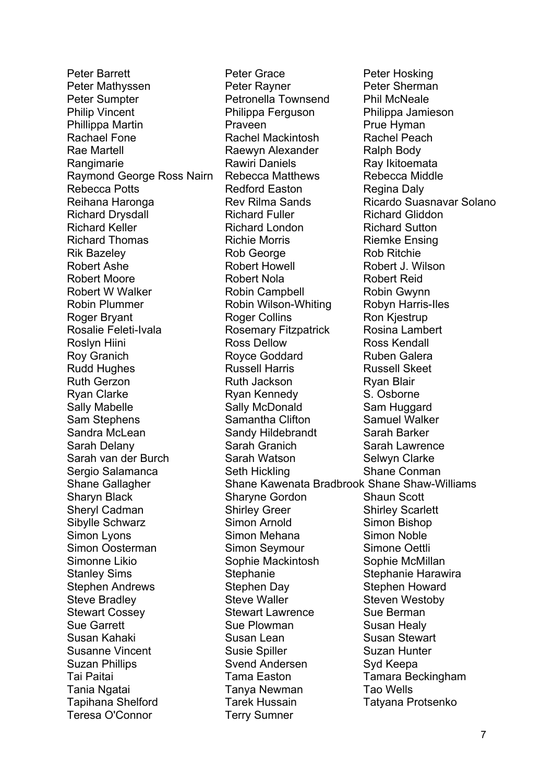Teresa O'Connor Terry Sumner

Peter Barrett **Peter Grace** Peter Grace Peter Hosking Peter Mathyssen Peter Rayner Peter Sherman Peter Sumpter **Petronella Townsend** Phil McNeale Philip Vincent Philippa Ferguson Philippa Jamieson Phillippa Martin **Praveen** Praveen Prue Hyman Rachael Fone Rachel Mackintosh Rachel Peach Rae Martell **Raewyn Alexander** Ralph Body Rangimarie Rawiri Daniels Ray Ikitoemata Raymond George Ross Nairn Rebecca Matthews Rebecca Middle Rebecca Potts **Redford Easton** Regina Daly Reihana Haronga **Rev Rilma Sands** Ricardo Suasnavar Solano Richard Drysdall **Richard Fuller** Richard Richard Gliddon Richard Keller Richard London Richard Sutton Richard Thomas **Richie Morris** Richiens Riemke Ensing Rik Bazeley **Rob George** Rob Ritchie Robert Ashe Robert Howell Robert J. Wilson Robert Moore Robert Nola Robert Reid Robert W Walker Robin Campbell Robin Gwynn Robin Plummer Robin Wilson-Whiting Robyn Harris-Iles Roger Bryant **Roger Collins** Roger Collins Ron Kjestrup Rosalie Feleti-Ivala **Rosemary Fitzpatrick** Rosina Lambert Roslyn Hiini **Ross Dellow** Ross Nendall Roy Granich **Royce Goddard** Royce Ruben Galera Rudd Hughes **Russell Harris** Russell Skeet Ruth Gerzon **Ruth Jackson** Ruth Ryan Blair Ryan Clarke **Ryan Kennedy** S. Osborne Sally Mabelle **Sally McDonald** Sally McDonald Sam Huggard Sam Stephens Samantha Clifton Samuel Walker Sandra McLean Sandy Hildebrandt Sarah Barker Sarah Delany Sarah Granich Sarah Lawrence Sarah van der Burch Sarah Watson Selwyn Clarke Sergio Salamanca Seth Hickling Seth Shane Conman Shane Gallagher Shane Kawenata Bradbrook Shane Shaw-Williams Sharyn Black Sharyne Gordon Shaun Scott Sheryl Cadman Shirley Greer Shirley Scarlett Sibylle Schwarz Simon Arnold Simon Bishop Simon Lyons Simon Mehana Simon Noble Simon Oosterman Simon Seymour Simone Oettli Simonne Likio Sophie Mackintosh Sophie McMillan Stanley Sims **Stephanie** Stephanie **Stephanie Stephanie Harawira** Stephen Andrews Stephen Day Stephen Howard Steve Bradley **Steve Waller** Steve Waller Steven Westoby Stewart Cossey **Stewart Lawrence** Sue Berman Sue Garrett Sue Plowman Susan Healy Susan Kahaki Susan Lean Susan Stewart Susanne Vincent Susie Spiller Susie Suzan Hunter Suzan Phillips **Syd Keepa** Svend Andersen Syd Keepa Tai Paitai Tama Easton Tamara Beckingham Tania Ngatai Tanya Newman Tao Wells Tapihana Shelford Tarek Hussain Tatyana Protsenko